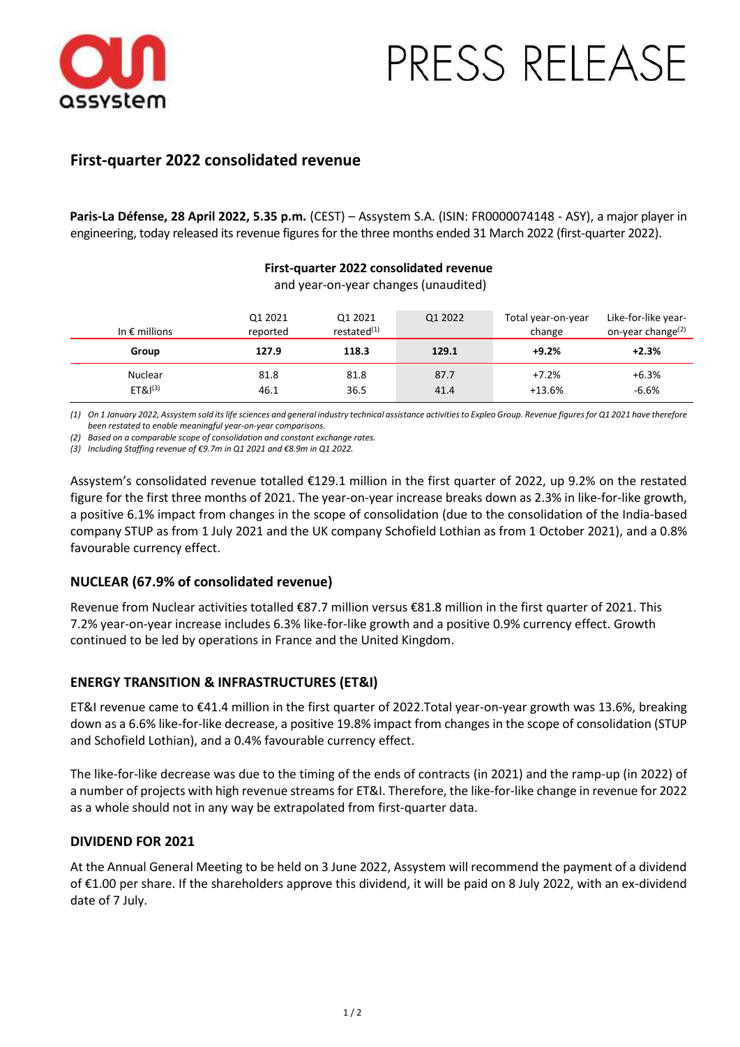

# PRESS RELEASE

## **First-quarter 2022 consolidated revenue**

**Paris-La Défense, 28 April 2022, 5.35 p.m.** (CEST) – Assystem S.A. (ISIN: FR0000074148 - ASY), a major player in engineering, today released its revenue figures for the three months ended 31 March 2022 (first-quarter 2022).

#### **First-quarter 2022 consolidated revenue** and year-on-year changes (unaudited)

| In $\epsilon$ millions                | Q1 2021<br>reported | Q1 2021<br>restated <sup>(1)</sup> | Q1 2022      | Total year-on-year<br>change | Like-for-like year-<br>on-year change <sup>(2)</sup> |
|---------------------------------------|---------------------|------------------------------------|--------------|------------------------------|------------------------------------------------------|
| Group                                 | 127.9               | 118.3                              | 129.1        | $+9.2%$                      | $+2.3%$                                              |
| <b>Nuclear</b><br>ET&I <sup>(3)</sup> | 81.8<br>46.1        | 81.8<br>36.5                       | 87.7<br>41.4 | $+7.2%$<br>$+13.6%$          | $+6.3%$<br>$-6.6%$                                   |

*(1) On 1 January 2022, Assystem sold its life sciences and general industry technical assistance activities to Expleo Group. Revenue figures for Q1 2021 have therefore been restated to enable meaningful year-on-year comparisons.*

*(2) Based on a comparable scope of consolidation and constant exchange rates.* 

*(3) Including Staffing revenue of €9.7m in Q1 2021 and €8.9m in Q1 2022.* 

Assystem's consolidated revenue totalled €129.1 million in the first quarter of 2022, up 9.2% on the restated figure for the first three months of 2021. The year-on-year increase breaks down as 2.3% in like-for-like growth, a positive 6.1% impact from changes in the scope of consolidation (due to the consolidation of the India-based company STUP as from 1 July 2021 and the UK company Schofield Lothian as from 1 October 2021), and a 0.8% favourable currency effect.

## **NUCLEAR (67.9% of consolidated revenue)**

Revenue from Nuclear activities totalled €87.7 million versus €81.8 million in the first quarter of 2021. This 7.2% year-on-year increase includes 6.3% like-for-like growth and a positive 0.9% currency effect. Growth continued to be led by operations in France and the United Kingdom.

## **ENERGY TRANSITION & INFRASTRUCTURES (ET&I)**

ET&I revenue came to €41.4 million in the first quarter of 2022.Total year-on-year growth was 13.6%, breaking down as a 6.6% like-for-like decrease, a positive 19.8% impact from changes in the scope of consolidation (STUP and Schofield Lothian), and a 0.4% favourable currency effect.

The like-for-like decrease was due to the timing of the ends of contracts (in 2021) and the ramp-up (in 2022) of a number of projects with high revenue streams for ET&I. Therefore, the like-for-like change in revenue for 2022 as a whole should not in any way be extrapolated from first-quarter data.

## **DIVIDEND FOR 2021**

At the Annual General Meeting to be held on 3 June 2022, Assystem will recommend the payment of a dividend of €1.00 per share. If the shareholders approve this dividend, it will be paid on 8 July 2022, with an ex-dividend date of 7 July.